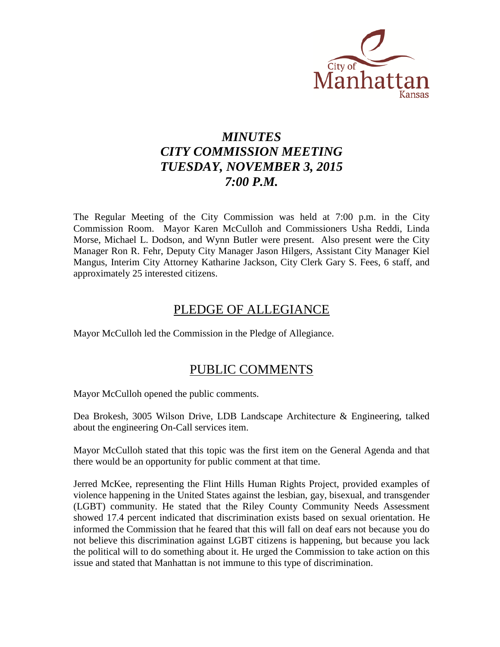

# *MINUTES CITY COMMISSION MEETING TUESDAY, NOVEMBER 3, 2015 7:00 P.M.*

The Regular Meeting of the City Commission was held at 7:00 p.m. in the City Commission Room. Mayor Karen McCulloh and Commissioners Usha Reddi, Linda Morse, Michael L. Dodson, and Wynn Butler were present. Also present were the City Manager Ron R. Fehr, Deputy City Manager Jason Hilgers, Assistant City Manager Kiel Mangus, Interim City Attorney Katharine Jackson, City Clerk Gary S. Fees, 6 staff, and approximately 25 interested citizens.

# PLEDGE OF ALLEGIANCE

Mayor McCulloh led the Commission in the Pledge of Allegiance.

# PUBLIC COMMENTS

Mayor McCulloh opened the public comments.

Dea Brokesh, 3005 Wilson Drive, LDB Landscape Architecture & Engineering, talked about the engineering On-Call services item.

Mayor McCulloh stated that this topic was the first item on the General Agenda and that there would be an opportunity for public comment at that time.

Jerred McKee, representing the Flint Hills Human Rights Project, provided examples of violence happening in the United States against the lesbian, gay, bisexual, and transgender (LGBT) community. He stated that the Riley County Community Needs Assessment showed 17.4 percent indicated that discrimination exists based on sexual orientation. He informed the Commission that he feared that this will fall on deaf ears not because you do not believe this discrimination against LGBT citizens is happening, but because you lack the political will to do something about it. He urged the Commission to take action on this issue and stated that Manhattan is not immune to this type of discrimination.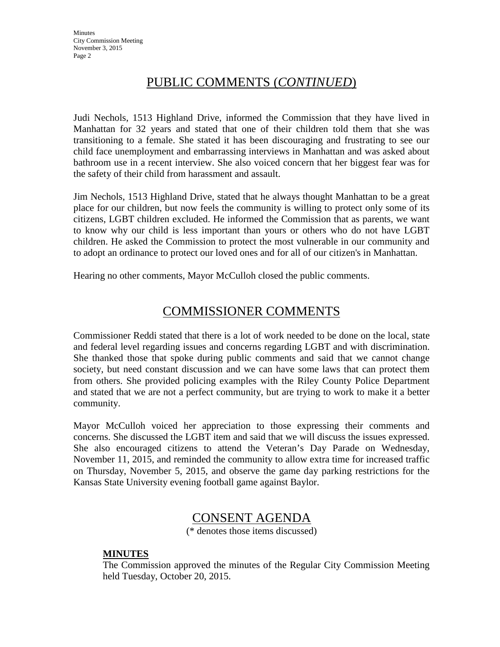# PUBLIC COMMENTS (*CONTINUED*)

Judi Nechols, 1513 Highland Drive, informed the Commission that they have lived in Manhattan for 32 years and stated that one of their children told them that she was transitioning to a female. She stated it has been discouraging and frustrating to see our child face unemployment and embarrassing interviews in Manhattan and was asked about bathroom use in a recent interview. She also voiced concern that her biggest fear was for the safety of their child from harassment and assault.

Jim Nechols, 1513 Highland Drive, stated that he always thought Manhattan to be a great place for our children, but now feels the community is willing to protect only some of its citizens, LGBT children excluded. He informed the Commission that as parents, we want to know why our child is less important than yours or others who do not have LGBT children. He asked the Commission to protect the most vulnerable in our community and to adopt an ordinance to protect our loved ones and for all of our citizen's in Manhattan.

Hearing no other comments, Mayor McCulloh closed the public comments.

# COMMISSIONER COMMENTS

Commissioner Reddi stated that there is a lot of work needed to be done on the local, state and federal level regarding issues and concerns regarding LGBT and with discrimination. She thanked those that spoke during public comments and said that we cannot change society, but need constant discussion and we can have some laws that can protect them from others. She provided policing examples with the Riley County Police Department and stated that we are not a perfect community, but are trying to work to make it a better community.

Mayor McCulloh voiced her appreciation to those expressing their comments and concerns. She discussed the LGBT item and said that we will discuss the issues expressed. She also encouraged citizens to attend the Veteran's Day Parade on Wednesday, November 11, 2015, and reminded the community to allow extra time for increased traffic on Thursday, November 5, 2015, and observe the game day parking restrictions for the Kansas State University evening football game against Baylor.

# CONSENT AGENDA

(\* denotes those items discussed)

# **MINUTES**

The Commission approved the minutes of the Regular City Commission Meeting held Tuesday, October 20, 2015.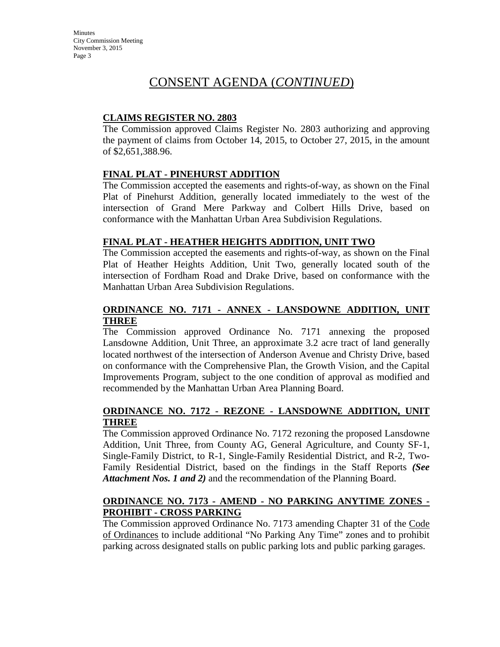# CONSENT AGENDA (*CONTINUED*)

# **CLAIMS REGISTER NO. 2803**

The Commission approved Claims Register No. 2803 authorizing and approving the payment of claims from October 14, 2015, to October 27, 2015, in the amount of \$2,651,388.96.

# **FINAL PLAT - PINEHURST ADDITION**

The Commission accepted the easements and rights-of-way, as shown on the Final Plat of Pinehurst Addition, generally located immediately to the west of the intersection of Grand Mere Parkway and Colbert Hills Drive, based on conformance with the Manhattan Urban Area Subdivision Regulations.

# **FINAL PLAT - HEATHER HEIGHTS ADDITION, UNIT TWO**

The Commission accepted the easements and rights-of-way, as shown on the Final Plat of Heather Heights Addition, Unit Two, generally located south of the intersection of Fordham Road and Drake Drive, based on conformance with the Manhattan Urban Area Subdivision Regulations.

# **ORDINANCE NO. 7171 - ANNEX - LANSDOWNE ADDITION, UNIT THREE**

The Commission approved Ordinance No. 7171 annexing the proposed Lansdowne Addition, Unit Three, an approximate 3.2 acre tract of land generally located northwest of the intersection of Anderson Avenue and Christy Drive, based on conformance with the Comprehensive Plan, the Growth Vision, and the Capital Improvements Program, subject to the one condition of approval as modified and recommended by the Manhattan Urban Area Planning Board.

# **ORDINANCE NO. 7172 - REZONE - LANSDOWNE ADDITION, UNIT THREE**

The Commission approved Ordinance No. 7172 rezoning the proposed Lansdowne Addition, Unit Three, from County AG, General Agriculture, and County SF-1, Single-Family District, to R-1, Single-Family Residential District, and R-2, Two-Family Residential District, based on the findings in the Staff Reports *(See Attachment Nos. 1 and 2)* and the recommendation of the Planning Board.

# **ORDINANCE NO. 7173 - AMEND - NO PARKING ANYTIME ZONES - PROHIBIT - CROSS PARKING**

The Commission approved Ordinance No. 7173 amending Chapter 31 of the Code of Ordinances to include additional "No Parking Any Time" zones and to prohibit parking across designated stalls on public parking lots and public parking garages.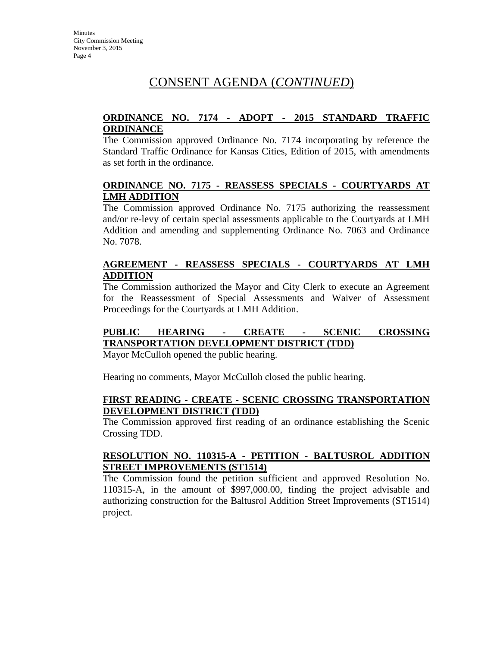# CONSENT AGENDA (*CONTINUED*)

# **ORDINANCE NO. 7174 - ADOPT - 2015 STANDARD TRAFFIC ORDINANCE**

The Commission approved Ordinance No. 7174 incorporating by reference the Standard Traffic Ordinance for Kansas Cities, Edition of 2015, with amendments as set forth in the ordinance.

### **ORDINANCE NO. 7175 - REASSESS SPECIALS - COURTYARDS AT LMH ADDITION**

The Commission approved Ordinance No. 7175 authorizing the reassessment and/or re-levy of certain special assessments applicable to the Courtyards at LMH Addition and amending and supplementing Ordinance No. 7063 and Ordinance No. 7078.

# **AGREEMENT - REASSESS SPECIALS - COURTYARDS AT LMH ADDITION**

The Commission authorized the Mayor and City Clerk to execute an Agreement for the Reassessment of Special Assessments and Waiver of Assessment Proceedings for the Courtyards at LMH Addition.

# **PUBLIC HEARING - CREATE - SCENIC CROSSING TRANSPORTATION DEVELOPMENT DISTRICT (TDD)**

Mayor McCulloh opened the public hearing.

Hearing no comments, Mayor McCulloh closed the public hearing.

#### **FIRST READING - CREATE - SCENIC CROSSING TRANSPORTATION DEVELOPMENT DISTRICT (TDD)**

The Commission approved first reading of an ordinance establishing the Scenic Crossing TDD.

# **RESOLUTION NO. 110315-A - PETITION - BALTUSROL ADDITION STREET IMPROVEMENTS (ST1514)**

The Commission found the petition sufficient and approved Resolution No. 110315-A, in the amount of \$997,000.00, finding the project advisable and authorizing construction for the Baltusrol Addition Street Improvements (ST1514) project.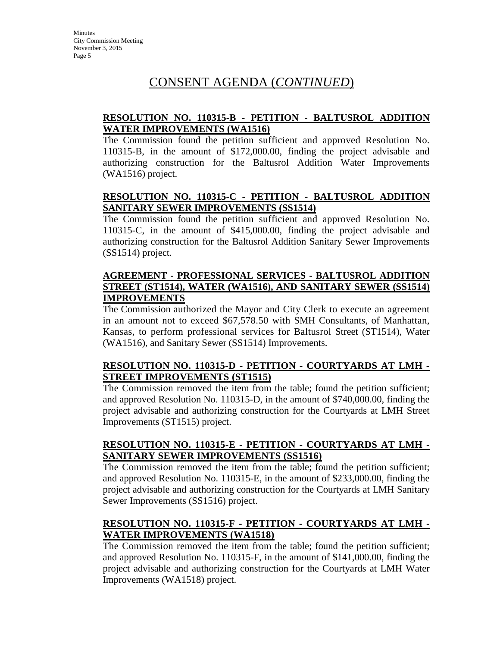# CONSENT AGENDA (*CONTINUED*)

# **RESOLUTION NO. 110315-B - PETITION - BALTUSROL ADDITION WATER IMPROVEMENTS (WA1516)**

The Commission found the petition sufficient and approved Resolution No. 110315-B, in the amount of \$172,000.00, finding the project advisable and authorizing construction for the Baltusrol Addition Water Improvements (WA1516) project.

# **RESOLUTION NO. 110315-C - PETITION - BALTUSROL ADDITION SANITARY SEWER IMPROVEMENTS (SS1514)**

The Commission found the petition sufficient and approved Resolution No. 110315-C, in the amount of \$415,000.00, finding the project advisable and authorizing construction for the Baltusrol Addition Sanitary Sewer Improvements (SS1514) project.

# **AGREEMENT - PROFESSIONAL SERVICES - BALTUSROL ADDITION STREET (ST1514), WATER (WA1516), AND SANITARY SEWER (SS1514) IMPROVEMENTS**

The Commission authorized the Mayor and City Clerk to execute an agreement in an amount not to exceed \$67,578.50 with SMH Consultants, of Manhattan, Kansas, to perform professional services for Baltusrol Street (ST1514), Water (WA1516), and Sanitary Sewer (SS1514) Improvements.

# **RESOLUTION NO. 110315-D - PETITION - COURTYARDS AT LMH - STREET IMPROVEMENTS (ST1515)**

The Commission removed the item from the table; found the petition sufficient; and approved Resolution No. 110315-D, in the amount of \$740,000.00, finding the project advisable and authorizing construction for the Courtyards at LMH Street Improvements (ST1515) project.

# **RESOLUTION NO. 110315-E - PETITION - COURTYARDS AT LMH - SANITARY SEWER IMPROVEMENTS (SS1516)**

The Commission removed the item from the table; found the petition sufficient; and approved Resolution No. 110315-E, in the amount of \$233,000.00, finding the project advisable and authorizing construction for the Courtyards at LMH Sanitary Sewer Improvements (SS1516) project.

# **RESOLUTION NO. 110315-F - PETITION - COURTYARDS AT LMH - WATER IMPROVEMENTS (WA1518)**

The Commission removed the item from the table; found the petition sufficient; and approved Resolution No. 110315-F, in the amount of \$141,000.00, finding the project advisable and authorizing construction for the Courtyards at LMH Water Improvements (WA1518) project.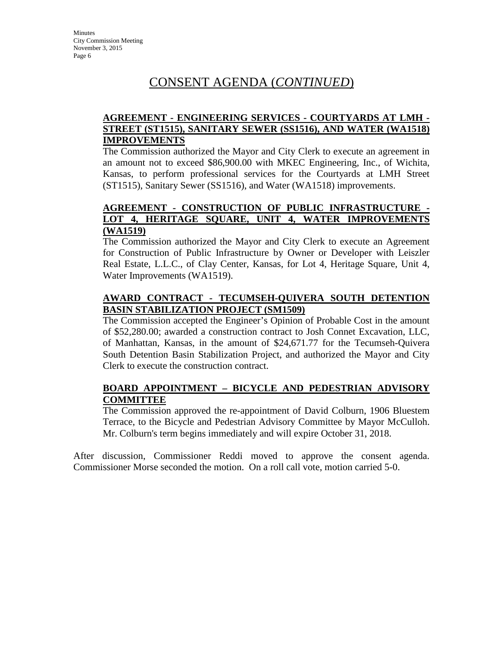# CONSENT AGENDA (*CONTINUED*)

# **AGREEMENT - ENGINEERING SERVICES - COURTYARDS AT LMH - STREET (ST1515), SANITARY SEWER (SS1516), AND WATER (WA1518) IMPROVEMENTS**

The Commission authorized the Mayor and City Clerk to execute an agreement in an amount not to exceed \$86,900.00 with MKEC Engineering, Inc., of Wichita, Kansas, to perform professional services for the Courtyards at LMH Street (ST1515), Sanitary Sewer (SS1516), and Water (WA1518) improvements.

### **AGREEMENT - CONSTRUCTION OF PUBLIC INFRASTRUCTURE - LOT 4, HERITAGE SQUARE, UNIT 4, WATER IMPROVEMENTS (WA1519)**

The Commission authorized the Mayor and City Clerk to execute an Agreement for Construction of Public Infrastructure by Owner or Developer with Leiszler Real Estate, L.L.C., of Clay Center, Kansas, for Lot 4, Heritage Square, Unit 4, Water Improvements (WA1519).

# **AWARD CONTRACT - TECUMSEH-QUIVERA SOUTH DETENTION BASIN STABILIZATION PROJECT (SM1509)**

The Commission accepted the Engineer's Opinion of Probable Cost in the amount of \$52,280.00; awarded a construction contract to Josh Connet Excavation, LLC, of Manhattan, Kansas, in the amount of \$24,671.77 for the Tecumseh-Quivera South Detention Basin Stabilization Project, and authorized the Mayor and City Clerk to execute the construction contract.

# **BOARD APPOINTMENT – BICYCLE AND PEDESTRIAN ADVISORY COMMITTEE**

The Commission approved the re-appointment of David Colburn, 1906 Bluestem Terrace, to the Bicycle and Pedestrian Advisory Committee by Mayor McCulloh. Mr. Colburn's term begins immediately and will expire October 31, 2018.

After discussion, Commissioner Reddi moved to approve the consent agenda. Commissioner Morse seconded the motion. On a roll call vote, motion carried 5-0.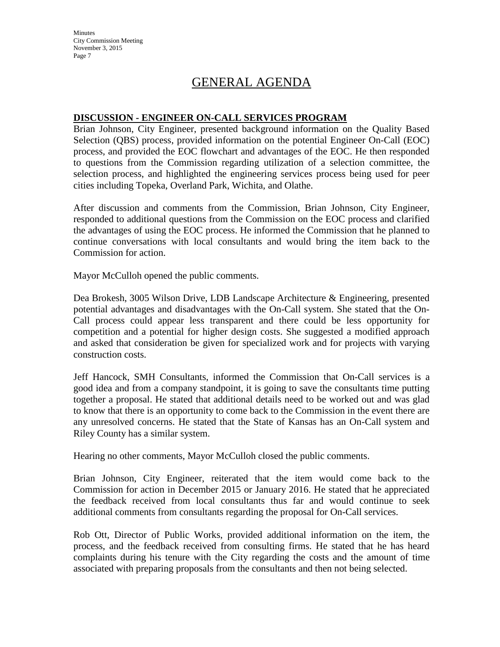# GENERAL AGENDA

#### **DISCUSSION - ENGINEER ON-CALL SERVICES PROGRAM**

Brian Johnson, City Engineer, presented background information on the Quality Based Selection (QBS) process, provided information on the potential Engineer On-Call (EOC) process, and provided the EOC flowchart and advantages of the EOC. He then responded to questions from the Commission regarding utilization of a selection committee, the selection process, and highlighted the engineering services process being used for peer cities including Topeka, Overland Park, Wichita, and Olathe.

After discussion and comments from the Commission, Brian Johnson, City Engineer, responded to additional questions from the Commission on the EOC process and clarified the advantages of using the EOC process. He informed the Commission that he planned to continue conversations with local consultants and would bring the item back to the Commission for action.

Mayor McCulloh opened the public comments.

Dea Brokesh, 3005 Wilson Drive, LDB Landscape Architecture & Engineering, presented potential advantages and disadvantages with the On-Call system. She stated that the On-Call process could appear less transparent and there could be less opportunity for competition and a potential for higher design costs. She suggested a modified approach and asked that consideration be given for specialized work and for projects with varying construction costs.

Jeff Hancock, SMH Consultants, informed the Commission that On-Call services is a good idea and from a company standpoint, it is going to save the consultants time putting together a proposal. He stated that additional details need to be worked out and was glad to know that there is an opportunity to come back to the Commission in the event there are any unresolved concerns. He stated that the State of Kansas has an On-Call system and Riley County has a similar system.

Hearing no other comments, Mayor McCulloh closed the public comments.

Brian Johnson, City Engineer, reiterated that the item would come back to the Commission for action in December 2015 or January 2016. He stated that he appreciated the feedback received from local consultants thus far and would continue to seek additional comments from consultants regarding the proposal for On-Call services.

Rob Ott, Director of Public Works, provided additional information on the item, the process, and the feedback received from consulting firms. He stated that he has heard complaints during his tenure with the City regarding the costs and the amount of time associated with preparing proposals from the consultants and then not being selected.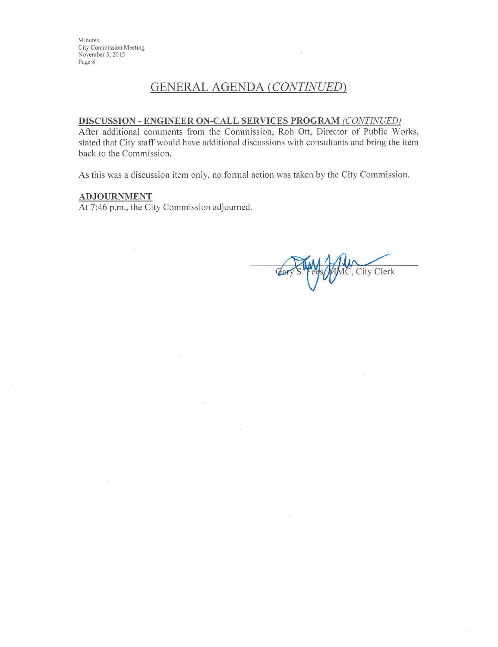# **GENERAL AGENDA (CONTINUED)**

# DISCUSSION - ENGINEER ON-CALL SERVICES PROGRAM (CONTINUED)

After additional comments from the Commission, Rob Ott, Director of Public Works, stated that City staff would have additional discussions with consultants and bring the item back to the Commission.

As this was a discussion item only, no formal action was taken by the City Commission.

#### ADJOURNMENT

At 7:46 p.m., the City Commission adjourned.

IC, City Clerk Car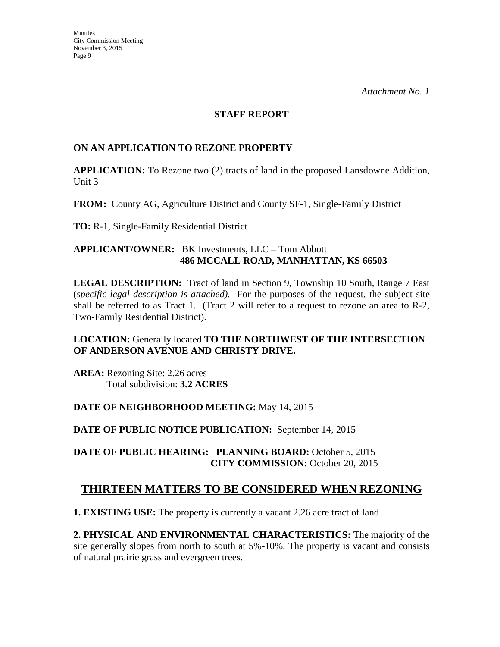#### **STAFF REPORT**

# **ON AN APPLICATION TO REZONE PROPERTY**

**APPLICATION:** To Rezone two (2) tracts of land in the proposed Lansdowne Addition, Unit 3

**FROM:** County AG, Agriculture District and County SF-1, Single-Family District

**TO:** R-1, Single-Family Residential District

# **APPLICANT/OWNER:** BK Investments, LLC – Tom Abbott **486 MCCALL ROAD, MANHATTAN, KS 66503**

**LEGAL DESCRIPTION:** Tract of land in Section 9, Township 10 South, Range 7 East (*specific legal description is attached).* For the purposes of the request, the subject site shall be referred to as Tract 1. (Tract 2 will refer to a request to rezone an area to R-2, Two-Family Residential District).

# **LOCATION:** Generally located **TO THE NORTHWEST OF THE INTERSECTION OF ANDERSON AVENUE AND CHRISTY DRIVE.**

**AREA:** Rezoning Site: 2.26 acres Total subdivision: **3.2 ACRES** 

# **DATE OF NEIGHBORHOOD MEETING:** May 14, 2015

**DATE OF PUBLIC NOTICE PUBLICATION:** September 14, 2015

**DATE OF PUBLIC HEARING: PLANNING BOARD:** October 5, 2015 **CITY COMMISSION:** October 20, 2015

# **THIRTEEN MATTERS TO BE CONSIDERED WHEN REZONING**

**1. EXISTING USE:** The property is currently a vacant 2.26 acre tract of land

**2. PHYSICAL AND ENVIRONMENTAL CHARACTERISTICS:** The majority of the site generally slopes from north to south at 5%-10%. The property is vacant and consists of natural prairie grass and evergreen trees.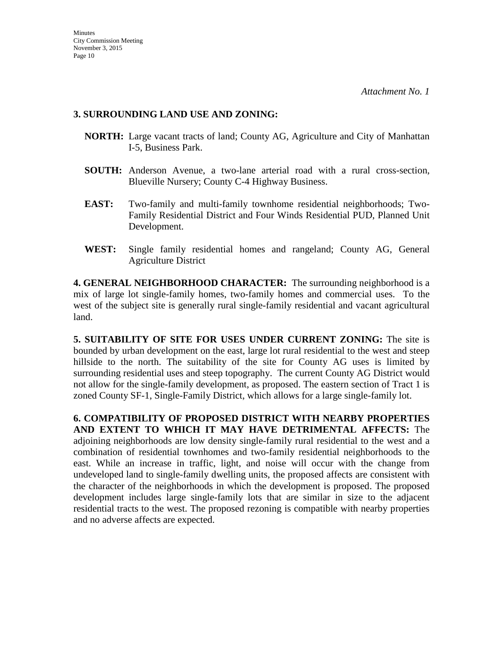#### **3. SURROUNDING LAND USE AND ZONING:**

- **NORTH:** Large vacant tracts of land; County AG, Agriculture and City of Manhattan I-5, Business Park.
- **SOUTH:** Anderson Avenue, a two-lane arterial road with a rural cross-section, Blueville Nursery; County C-4 Highway Business.
- **EAST:** Two-family and multi-family townhome residential neighborhoods; Two-Family Residential District and Four Winds Residential PUD, Planned Unit Development.
- **WEST:** Single family residential homes and rangeland; County AG, General Agriculture District

**4. GENERAL NEIGHBORHOOD CHARACTER:** The surrounding neighborhood is a mix of large lot single-family homes, two-family homes and commercial uses. To the west of the subject site is generally rural single-family residential and vacant agricultural land.

**5. SUITABILITY OF SITE FOR USES UNDER CURRENT ZONING:** The site is bounded by urban development on the east, large lot rural residential to the west and steep hillside to the north. The suitability of the site for County AG uses is limited by surrounding residential uses and steep topography. The current County AG District would not allow for the single-family development, as proposed. The eastern section of Tract 1 is zoned County SF-1, Single-Family District, which allows for a large single-family lot.

**6. COMPATIBILITY OF PROPOSED DISTRICT WITH NEARBY PROPERTIES AND EXTENT TO WHICH IT MAY HAVE DETRIMENTAL AFFECTS:** The adjoining neighborhoods are low density single-family rural residential to the west and a combination of residential townhomes and two-family residential neighborhoods to the east. While an increase in traffic, light, and noise will occur with the change from undeveloped land to single-family dwelling units, the proposed affects are consistent with the character of the neighborhoods in which the development is proposed. The proposed development includes large single-family lots that are similar in size to the adjacent residential tracts to the west. The proposed rezoning is compatible with nearby properties and no adverse affects are expected.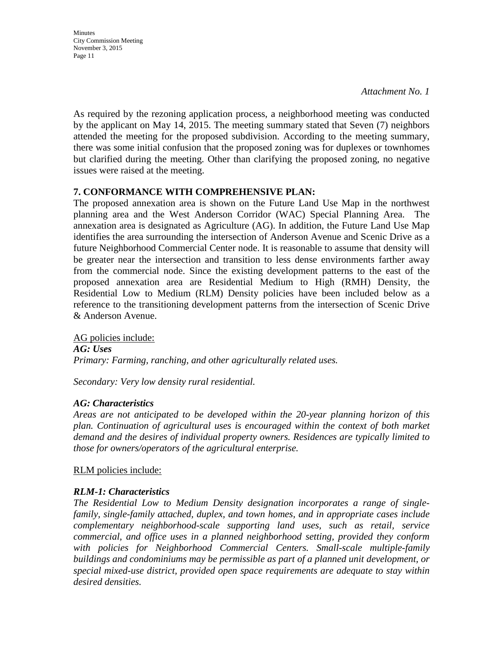*Attachment No. 1*

As required by the rezoning application process, a neighborhood meeting was conducted by the applicant on May 14, 2015. The meeting summary stated that Seven (7) neighbors attended the meeting for the proposed subdivision. According to the meeting summary, there was some initial confusion that the proposed zoning was for duplexes or townhomes but clarified during the meeting. Other than clarifying the proposed zoning, no negative issues were raised at the meeting.

# **7. CONFORMANCE WITH COMPREHENSIVE PLAN:**

The proposed annexation area is shown on the Future Land Use Map in the northwest planning area and the West Anderson Corridor (WAC) Special Planning Area. The annexation area is designated as Agriculture (AG). In addition, the Future Land Use Map identifies the area surrounding the intersection of Anderson Avenue and Scenic Drive as a future Neighborhood Commercial Center node. It is reasonable to assume that density will be greater near the intersection and transition to less dense environments farther away from the commercial node. Since the existing development patterns to the east of the proposed annexation area are Residential Medium to High (RMH) Density, the Residential Low to Medium (RLM) Density policies have been included below as a reference to the transitioning development patterns from the intersection of Scenic Drive & Anderson Avenue.

AG policies include: *AG: Uses Primary: Farming, ranching, and other agriculturally related uses.* 

*Secondary: Very low density rural residential.*

# *AG: Characteristics*

*Areas are not anticipated to be developed within the 20-year planning horizon of this plan. Continuation of agricultural uses is encouraged within the context of both market demand and the desires of individual property owners. Residences are typically limited to those for owners/operators of the agricultural enterprise.*

RLM policies include:

# *RLM-1: Characteristics*

*The Residential Low to Medium Density designation incorporates a range of singlefamily, single-family attached, duplex, and town homes, and in appropriate cases include complementary neighborhood-scale supporting land uses, such as retail, service commercial, and office uses in a planned neighborhood setting, provided they conform*  with policies for Neighborhood Commercial Centers. Small-scale multiple-family *buildings and condominiums may be permissible as part of a planned unit development, or special mixed-use district, provided open space requirements are adequate to stay within desired densities.*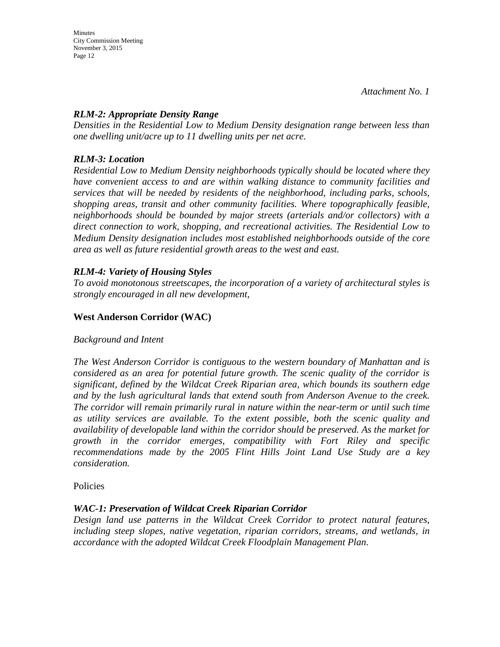**Minutes** City Commission Meeting November 3, 2015 Page 12

# *RLM-2: Appropriate Density Range*

*Densities in the Residential Low to Medium Density designation range between less than one dwelling unit/acre up to 11 dwelling units per net acre.* 

# *RLM-3: Location*

*Residential Low to Medium Density neighborhoods typically should be located where they have convenient access to and are within walking distance to community facilities and services that will be needed by residents of the neighborhood, including parks, schools, shopping areas, transit and other community facilities. Where topographically feasible, neighborhoods should be bounded by major streets (arterials and/or collectors) with a direct connection to work, shopping, and recreational activities. The Residential Low to Medium Density designation includes most established neighborhoods outside of the core area as well as future residential growth areas to the west and east.* 

# *RLM-4: Variety of Housing Styles*

*To avoid monotonous streetscapes, the incorporation of a variety of architectural styles is strongly encouraged in all new development,*

# **West Anderson Corridor (WAC)**

# *Background and Intent*

*The West Anderson Corridor is contiguous to the western boundary of Manhattan and is considered as an area for potential future growth. The scenic quality of the corridor is significant, defined by the Wildcat Creek Riparian area, which bounds its southern edge and by the lush agricultural lands that extend south from Anderson Avenue to the creek. The corridor will remain primarily rural in nature within the near-term or until such time as utility services are available. To the extent possible, both the scenic quality and availability of developable land within the corridor should be preserved. As the market for growth in the corridor emerges, compatibility with Fort Riley and specific recommendations made by the 2005 Flint Hills Joint Land Use Study are a key consideration.*

# Policies

# *WAC-1: Preservation of Wildcat Creek Riparian Corridor*

*Design land use patterns in the Wildcat Creek Corridor to protect natural features, including steep slopes, native vegetation, riparian corridors, streams, and wetlands, in accordance with the adopted Wildcat Creek Floodplain Management Plan.*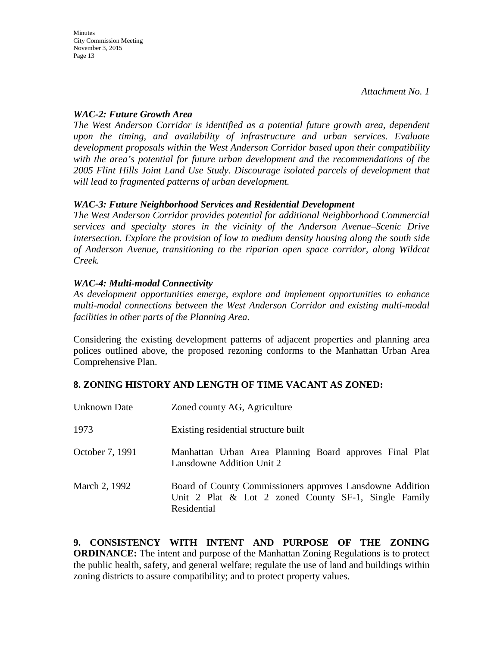# *WAC-2: Future Growth Area*

*The West Anderson Corridor is identified as a potential future growth area, dependent upon the timing, and availability of infrastructure and urban services. Evaluate development proposals within the West Anderson Corridor based upon their compatibility with the area's potential for future urban development and the recommendations of the 2005 Flint Hills Joint Land Use Study. Discourage isolated parcels of development that will lead to fragmented patterns of urban development.*

# *WAC-3: Future Neighborhood Services and Residential Development*

*The West Anderson Corridor provides potential for additional Neighborhood Commercial services and specialty stores in the vicinity of the Anderson Avenue–Scenic Drive intersection. Explore the provision of low to medium density housing along the south side of Anderson Avenue, transitioning to the riparian open space corridor, along Wildcat Creek.*

# *WAC-4: Multi-modal Connectivity*

*As development opportunities emerge, explore and implement opportunities to enhance multi-modal connections between the West Anderson Corridor and existing multi-modal facilities in other parts of the Planning Area.*

Considering the existing development patterns of adjacent properties and planning area polices outlined above, the proposed rezoning conforms to the Manhattan Urban Area Comprehensive Plan.

# **8. ZONING HISTORY AND LENGTH OF TIME VACANT AS ZONED:**

| Unknown Date    | Zoned county AG, Agriculture                                                                                                        |
|-----------------|-------------------------------------------------------------------------------------------------------------------------------------|
| 1973            | Existing residential structure built                                                                                                |
| October 7, 1991 | Manhattan Urban Area Planning Board approves Final Plat<br>Lansdowne Addition Unit 2                                                |
| March 2, 1992   | Board of County Commissioners approves Lansdowne Addition<br>Unit 2 Plat $\&$ Lot 2 zoned County SF-1, Single Family<br>Residential |

**9. CONSISTENCY WITH INTENT AND PURPOSE OF THE ZONING ORDINANCE:** The intent and purpose of the Manhattan Zoning Regulations is to protect the public health, safety, and general welfare; regulate the use of land and buildings within zoning districts to assure compatibility; and to protect property values.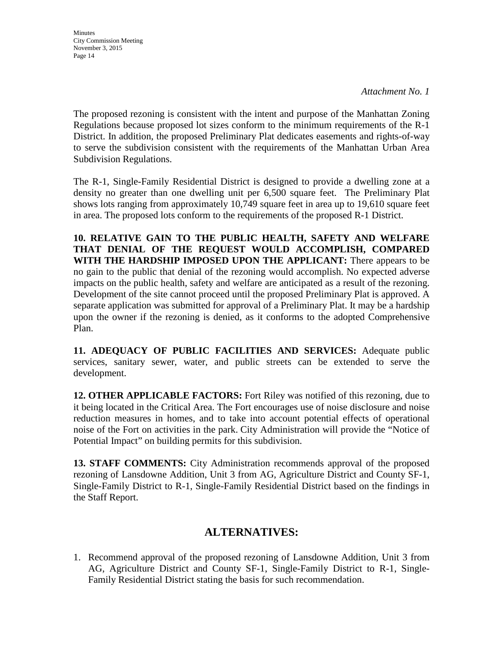*Attachment No. 1*

The proposed rezoning is consistent with the intent and purpose of the Manhattan Zoning Regulations because proposed lot sizes conform to the minimum requirements of the R-1 District. In addition, the proposed Preliminary Plat dedicates easements and rights-of-way to serve the subdivision consistent with the requirements of the Manhattan Urban Area Subdivision Regulations.

The R-1, Single-Family Residential District is designed to provide a dwelling zone at a density no greater than one dwelling unit per 6,500 square feet. The Preliminary Plat shows lots ranging from approximately 10,749 square feet in area up to 19,610 square feet in area. The proposed lots conform to the requirements of the proposed R-1 District.

**10. RELATIVE GAIN TO THE PUBLIC HEALTH, SAFETY AND WELFARE THAT DENIAL OF THE REQUEST WOULD ACCOMPLISH, COMPARED WITH THE HARDSHIP IMPOSED UPON THE APPLICANT:** There appears to be no gain to the public that denial of the rezoning would accomplish. No expected adverse impacts on the public health, safety and welfare are anticipated as a result of the rezoning. Development of the site cannot proceed until the proposed Preliminary Plat is approved. A separate application was submitted for approval of a Preliminary Plat. It may be a hardship upon the owner if the rezoning is denied, as it conforms to the adopted Comprehensive Plan.

**11. ADEQUACY OF PUBLIC FACILITIES AND SERVICES:** Adequate public services, sanitary sewer, water, and public streets can be extended to serve the development.

**12. OTHER APPLICABLE FACTORS:** Fort Riley was notified of this rezoning, due to it being located in the Critical Area. The Fort encourages use of noise disclosure and noise reduction measures in homes, and to take into account potential effects of operational noise of the Fort on activities in the park. City Administration will provide the "Notice of Potential Impact" on building permits for this subdivision.

**13. STAFF COMMENTS:** City Administration recommends approval of the proposed rezoning of Lansdowne Addition, Unit 3 from AG, Agriculture District and County SF-1, Single-Family District to R-1, Single-Family Residential District based on the findings in the Staff Report.

# **ALTERNATIVES:**

1. Recommend approval of the proposed rezoning of Lansdowne Addition, Unit 3 from AG, Agriculture District and County SF-1, Single-Family District to R-1, Single-Family Residential District stating the basis for such recommendation.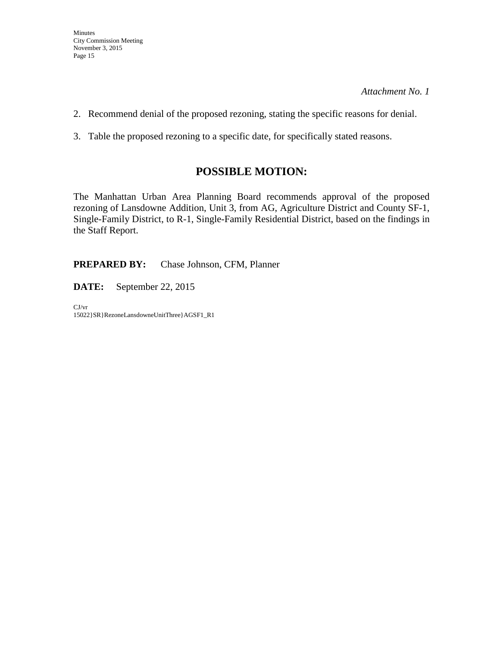- 2. Recommend denial of the proposed rezoning, stating the specific reasons for denial.
- 3. Table the proposed rezoning to a specific date, for specifically stated reasons.

# **POSSIBLE MOTION:**

The Manhattan Urban Area Planning Board recommends approval of the proposed rezoning of Lansdowne Addition, Unit 3, from AG, Agriculture District and County SF-1, Single-Family District, to R-1, Single-Family Residential District, based on the findings in the Staff Report.

**PREPARED BY:** Chase Johnson, CFM, Planner

**DATE:** September 22, 2015

CJ/vr 15022}SR}RezoneLansdowneUnitThree}AGSF1\_R1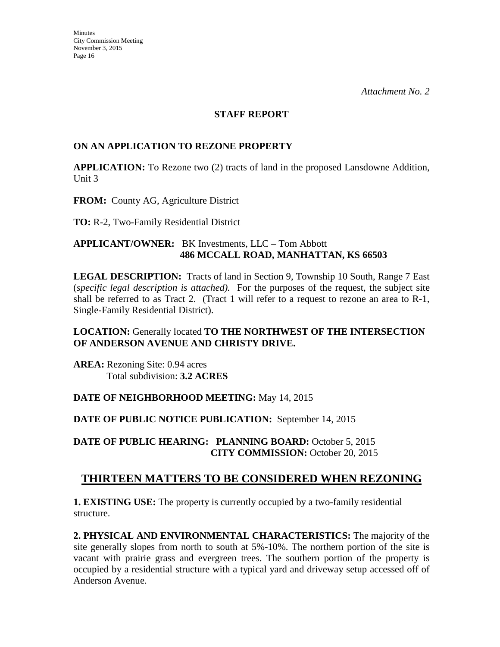#### **STAFF REPORT**

# **ON AN APPLICATION TO REZONE PROPERTY**

**APPLICATION:** To Rezone two (2) tracts of land in the proposed Lansdowne Addition, Unit 3

**FROM:** County AG, Agriculture District

**TO:** R-2, Two-Family Residential District

### **APPLICANT/OWNER:** BK Investments, LLC – Tom Abbott **486 MCCALL ROAD, MANHATTAN, KS 66503**

**LEGAL DESCRIPTION:** Tracts of land in Section 9, Township 10 South, Range 7 East (*specific legal description is attached).* For the purposes of the request, the subject site shall be referred to as Tract 2. (Tract 1 will refer to a request to rezone an area to R-1, Single-Family Residential District).

# **LOCATION:** Generally located **TO THE NORTHWEST OF THE INTERSECTION OF ANDERSON AVENUE AND CHRISTY DRIVE.**

**AREA:** Rezoning Site: 0.94 acres Total subdivision: **3.2 ACRES** 

# **DATE OF NEIGHBORHOOD MEETING:** May 14, 2015

# **DATE OF PUBLIC NOTICE PUBLICATION:** September 14, 2015

**DATE OF PUBLIC HEARING: PLANNING BOARD:** October 5, 2015 **CITY COMMISSION:** October 20, 2015

# **THIRTEEN MATTERS TO BE CONSIDERED WHEN REZONING**

**1. EXISTING USE:** The property is currently occupied by a two-family residential structure.

**2. PHYSICAL AND ENVIRONMENTAL CHARACTERISTICS:** The majority of the site generally slopes from north to south at 5%-10%. The northern portion of the site is vacant with prairie grass and evergreen trees. The southern portion of the property is occupied by a residential structure with a typical yard and driveway setup accessed off of Anderson Avenue.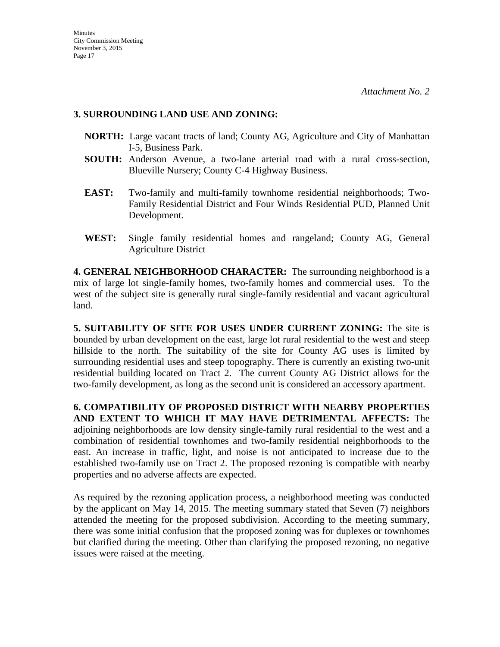# **3. SURROUNDING LAND USE AND ZONING:**

- **NORTH:** Large vacant tracts of land; County AG, Agriculture and City of Manhattan I-5, Business Park.
- **SOUTH:** Anderson Avenue, a two-lane arterial road with a rural cross-section, Blueville Nursery; County C-4 Highway Business.
- **EAST:** Two-family and multi-family townhome residential neighborhoods; Two-Family Residential District and Four Winds Residential PUD, Planned Unit Development.
- **WEST:** Single family residential homes and rangeland; County AG, General Agriculture District

**4. GENERAL NEIGHBORHOOD CHARACTER:** The surrounding neighborhood is a mix of large lot single-family homes, two-family homes and commercial uses. To the west of the subject site is generally rural single-family residential and vacant agricultural land.

**5. SUITABILITY OF SITE FOR USES UNDER CURRENT ZONING:** The site is bounded by urban development on the east, large lot rural residential to the west and steep hillside to the north. The suitability of the site for County AG uses is limited by surrounding residential uses and steep topography. There is currently an existing two-unit residential building located on Tract 2. The current County AG District allows for the two-family development, as long as the second unit is considered an accessory apartment.

**6. COMPATIBILITY OF PROPOSED DISTRICT WITH NEARBY PROPERTIES AND EXTENT TO WHICH IT MAY HAVE DETRIMENTAL AFFECTS:** The adjoining neighborhoods are low density single-family rural residential to the west and a combination of residential townhomes and two-family residential neighborhoods to the east. An increase in traffic, light, and noise is not anticipated to increase due to the established two-family use on Tract 2. The proposed rezoning is compatible with nearby properties and no adverse affects are expected.

As required by the rezoning application process, a neighborhood meeting was conducted by the applicant on May 14, 2015. The meeting summary stated that Seven (7) neighbors attended the meeting for the proposed subdivision. According to the meeting summary, there was some initial confusion that the proposed zoning was for duplexes or townhomes but clarified during the meeting. Other than clarifying the proposed rezoning, no negative issues were raised at the meeting.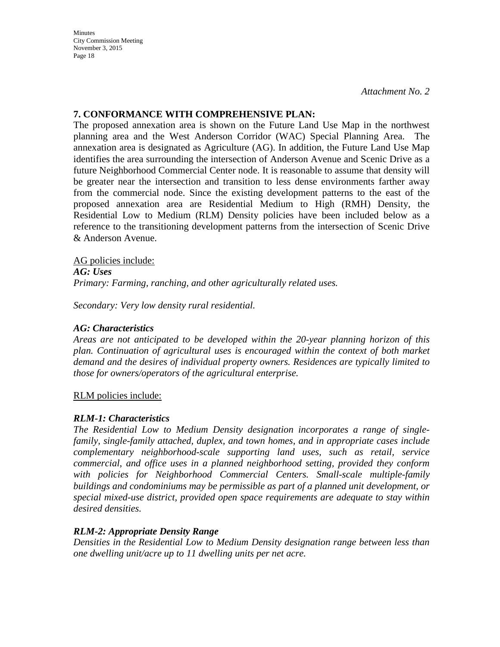**Minutes** City Commission Meeting November 3, 2015 Page 18

# **7. CONFORMANCE WITH COMPREHENSIVE PLAN:**

The proposed annexation area is shown on the Future Land Use Map in the northwest planning area and the West Anderson Corridor (WAC) Special Planning Area. The annexation area is designated as Agriculture (AG). In addition, the Future Land Use Map identifies the area surrounding the intersection of Anderson Avenue and Scenic Drive as a future Neighborhood Commercial Center node. It is reasonable to assume that density will be greater near the intersection and transition to less dense environments farther away from the commercial node. Since the existing development patterns to the east of the proposed annexation area are Residential Medium to High (RMH) Density, the Residential Low to Medium (RLM) Density policies have been included below as a reference to the transitioning development patterns from the intersection of Scenic Drive & Anderson Avenue.

AG policies include: *AG: Uses Primary: Farming, ranching, and other agriculturally related uses.* 

*Secondary: Very low density rural residential.*

# *AG: Characteristics*

*Areas are not anticipated to be developed within the 20-year planning horizon of this plan. Continuation of agricultural uses is encouraged within the context of both market demand and the desires of individual property owners. Residences are typically limited to those for owners/operators of the agricultural enterprise.*

RLM policies include:

# *RLM-1: Characteristics*

*The Residential Low to Medium Density designation incorporates a range of singlefamily, single-family attached, duplex, and town homes, and in appropriate cases include complementary neighborhood-scale supporting land uses, such as retail, service commercial, and office uses in a planned neighborhood setting, provided they conform with policies for Neighborhood Commercial Centers. Small-scale multiple-family buildings and condominiums may be permissible as part of a planned unit development, or special mixed-use district, provided open space requirements are adequate to stay within desired densities.* 

# *RLM-2: Appropriate Density Range*

*Densities in the Residential Low to Medium Density designation range between less than one dwelling unit/acre up to 11 dwelling units per net acre.*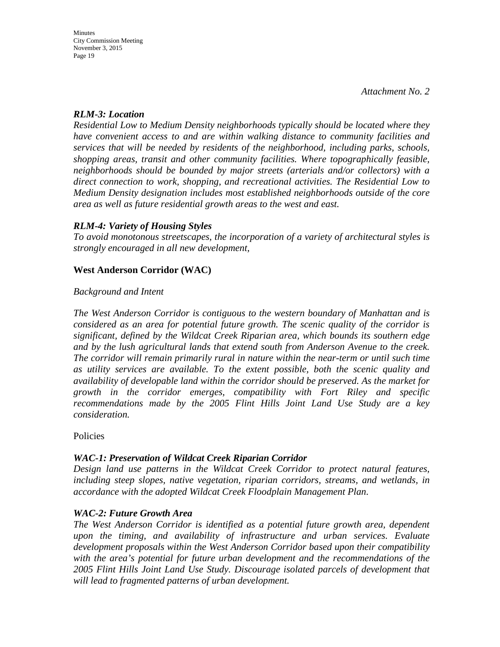### *RLM-3: Location*

*Residential Low to Medium Density neighborhoods typically should be located where they have convenient access to and are within walking distance to community facilities and services that will be needed by residents of the neighborhood, including parks, schools, shopping areas, transit and other community facilities. Where topographically feasible, neighborhoods should be bounded by major streets (arterials and/or collectors) with a direct connection to work, shopping, and recreational activities. The Residential Low to Medium Density designation includes most established neighborhoods outside of the core area as well as future residential growth areas to the west and east.* 

# *RLM-4: Variety of Housing Styles*

*To avoid monotonous streetscapes, the incorporation of a variety of architectural styles is strongly encouraged in all new development,*

# **West Anderson Corridor (WAC)**

#### *Background and Intent*

*The West Anderson Corridor is contiguous to the western boundary of Manhattan and is considered as an area for potential future growth. The scenic quality of the corridor is significant, defined by the Wildcat Creek Riparian area, which bounds its southern edge and by the lush agricultural lands that extend south from Anderson Avenue to the creek. The corridor will remain primarily rural in nature within the near-term or until such time as utility services are available. To the extent possible, both the scenic quality and availability of developable land within the corridor should be preserved. As the market for growth in the corridor emerges, compatibility with Fort Riley and specific recommendations made by the 2005 Flint Hills Joint Land Use Study are a key consideration.*

Policies

# *WAC-1: Preservation of Wildcat Creek Riparian Corridor*

*Design land use patterns in the Wildcat Creek Corridor to protect natural features, including steep slopes, native vegetation, riparian corridors, streams, and wetlands, in accordance with the adopted Wildcat Creek Floodplain Management Plan.*

#### *WAC-2: Future Growth Area*

*The West Anderson Corridor is identified as a potential future growth area, dependent upon the timing, and availability of infrastructure and urban services. Evaluate development proposals within the West Anderson Corridor based upon their compatibility with the area's potential for future urban development and the recommendations of the 2005 Flint Hills Joint Land Use Study. Discourage isolated parcels of development that will lead to fragmented patterns of urban development.*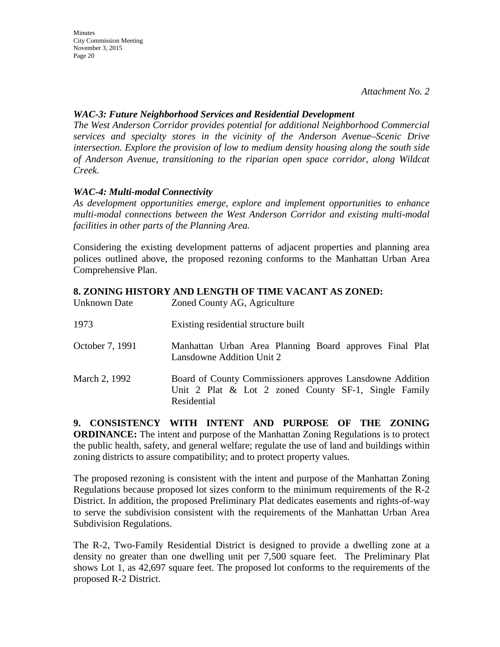### *WAC-3: Future Neighborhood Services and Residential Development*

*The West Anderson Corridor provides potential for additional Neighborhood Commercial services and specialty stores in the vicinity of the Anderson Avenue–Scenic Drive intersection. Explore the provision of low to medium density housing along the south side of Anderson Avenue, transitioning to the riparian open space corridor, along Wildcat Creek.*

# *WAC-4: Multi-modal Connectivity*

*As development opportunities emerge, explore and implement opportunities to enhance multi-modal connections between the West Anderson Corridor and existing multi-modal facilities in other parts of the Planning Area.*

Considering the existing development patterns of adjacent properties and planning area polices outlined above, the proposed rezoning conforms to the Manhattan Urban Area Comprehensive Plan.

# **8. ZONING HISTORY AND LENGTH OF TIME VACANT AS ZONED:**

| Unknown Date    | Zoned County AG, Agriculture                                                                                                     |
|-----------------|----------------------------------------------------------------------------------------------------------------------------------|
| 1973            | Existing residential structure built                                                                                             |
| October 7, 1991 | Manhattan Urban Area Planning Board approves Final Plat<br>Lansdowne Addition Unit 2                                             |
| March 2, 1992   | Board of County Commissioners approves Lansdowne Addition<br>Unit 2 Plat & Lot 2 zoned County SF-1, Single Family<br>Residential |

**9. CONSISTENCY WITH INTENT AND PURPOSE OF THE ZONING ORDINANCE:** The intent and purpose of the Manhattan Zoning Regulations is to protect the public health, safety, and general welfare; regulate the use of land and buildings within zoning districts to assure compatibility; and to protect property values.

The proposed rezoning is consistent with the intent and purpose of the Manhattan Zoning Regulations because proposed lot sizes conform to the minimum requirements of the R-2 District. In addition, the proposed Preliminary Plat dedicates easements and rights-of-way to serve the subdivision consistent with the requirements of the Manhattan Urban Area Subdivision Regulations.

The R-2, Two-Family Residential District is designed to provide a dwelling zone at a density no greater than one dwelling unit per 7,500 square feet. The Preliminary Plat shows Lot 1, as 42,697 square feet. The proposed lot conforms to the requirements of the proposed R-2 District.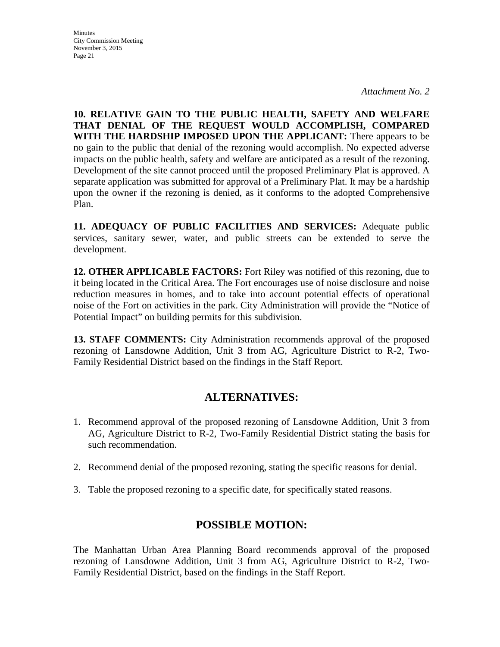**Minutes** City Commission Meeting November 3, 2015 Page 21

**10. RELATIVE GAIN TO THE PUBLIC HEALTH, SAFETY AND WELFARE THAT DENIAL OF THE REQUEST WOULD ACCOMPLISH, COMPARED WITH THE HARDSHIP IMPOSED UPON THE APPLICANT:** There appears to be no gain to the public that denial of the rezoning would accomplish. No expected adverse impacts on the public health, safety and welfare are anticipated as a result of the rezoning. Development of the site cannot proceed until the proposed Preliminary Plat is approved. A separate application was submitted for approval of a Preliminary Plat. It may be a hardship upon the owner if the rezoning is denied, as it conforms to the adopted Comprehensive Plan.

**11. ADEQUACY OF PUBLIC FACILITIES AND SERVICES:** Adequate public services, sanitary sewer, water, and public streets can be extended to serve the development.

**12. OTHER APPLICABLE FACTORS:** Fort Riley was notified of this rezoning, due to it being located in the Critical Area. The Fort encourages use of noise disclosure and noise reduction measures in homes, and to take into account potential effects of operational noise of the Fort on activities in the park. City Administration will provide the "Notice of Potential Impact" on building permits for this subdivision.

**13. STAFF COMMENTS:** City Administration recommends approval of the proposed rezoning of Lansdowne Addition, Unit 3 from AG, Agriculture District to R-2, Two-Family Residential District based on the findings in the Staff Report.

# **ALTERNATIVES:**

- 1. Recommend approval of the proposed rezoning of Lansdowne Addition, Unit 3 from AG, Agriculture District to R-2, Two-Family Residential District stating the basis for such recommendation.
- 2. Recommend denial of the proposed rezoning, stating the specific reasons for denial.
- 3. Table the proposed rezoning to a specific date, for specifically stated reasons.

# **POSSIBLE MOTION:**

The Manhattan Urban Area Planning Board recommends approval of the proposed rezoning of Lansdowne Addition, Unit 3 from AG, Agriculture District to R-2, Two-Family Residential District, based on the findings in the Staff Report.